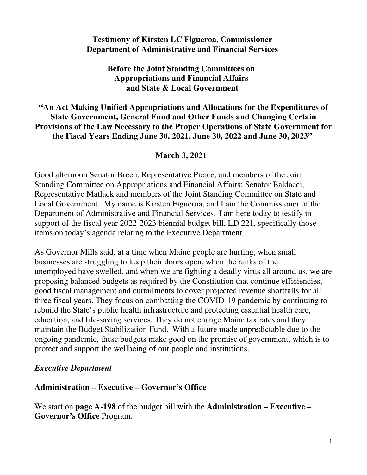## **Testimony of Kirsten LC Figueroa, Commissioner Department of Administrative and Financial Services**

**Before the Joint Standing Committees on Appropriations and Financial Affairs and State & Local Government**

**"An Act Making Unified Appropriations and Allocations for the Expenditures of State Government, General Fund and Other Funds and Changing Certain Provisions of the Law Necessary to the Proper Operations of State Government for the Fiscal Years Ending June 30, 2021, June 30, 2022 and June 30, 2023"**

## **March 3, 2021**

Good afternoon Senator Breen, Representative Pierce, and members of the Joint Standing Committee on Appropriations and Financial Affairs; Senator Baldacci, Representative Matlack and members of the Joint Standing Committee on State and Local Government. My name is Kirsten Figueroa, and I am the Commissioner of the Department of Administrative and Financial Services.  I am here today to testify in support of the fiscal year 2022-2023 biennial budget bill, LD 221, specifically those items on today's agenda relating to the Executive Department.

As Governor Mills said, at a time when Maine people are hurting, when small businesses are struggling to keep their doors open, when the ranks of the unemployed have swelled, and when we are fighting a deadly virus all around us, we are proposing balanced budgets as required by the Constitution that continue efficiencies, good fiscal management and curtailments to cover projected revenue shortfalls for all three fiscal years. They focus on combatting the COVID-19 pandemic by continuing to rebuild the State's public health infrastructure and protecting essential health care, education, and life-saving services. They do not change Maine tax rates and they maintain the Budget Stabilization Fund. With a future made unpredictable due to the ongoing pandemic, these budgets make good on the promise of government, which is to protect and support the wellbeing of our people and institutions.

### *Executive Department*

### **Administration – Executive – Governor's Office**

We start on **page A-198** of the budget bill with the **Administration – Executive – Governor's Office** Program.